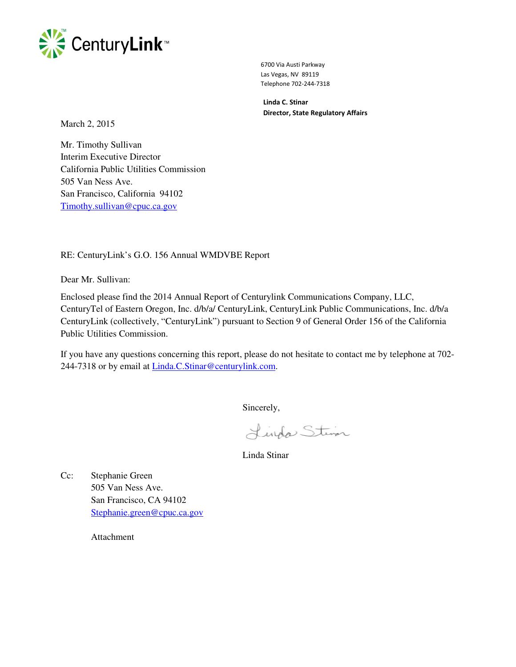

 6700 Via Austi Parkway Las Vegas, NV 89119 Telephone 702-244-7318

 **Linda C. Stinar Director, State Regulatory Affairs** 

March 2, 2015

Mr. Timothy Sullivan Interim Executive Director California Public Utilities Commission 505 Van Ness Ave. San Francisco, California 94102 Timothy.sullivan@cpuc.ca.gov

RE: CenturyLink's G.O. 156 Annual WMDVBE Report

Dear Mr. Sullivan:

Enclosed please find the 2014 Annual Report of Centurylink Communications Company, LLC, CenturyTel of Eastern Oregon, Inc. d/b/a/ CenturyLink, CenturyLink Public Communications, Inc. d/b/a CenturyLink (collectively, "CenturyLink") pursuant to Section 9 of General Order 156 of the California Public Utilities Commission.

If you have any questions concerning this report, please do not hesitate to contact me by telephone at 702- 244-7318 or by email at Linda.C.Stinar@centurylink.com.

Sincerely,

Lindo Steven

Linda Stinar

Cc: Stephanie Green 505 Van Ness Ave. San Francisco, CA 94102 Stephanie.green@cpuc.ca.gov

Attachment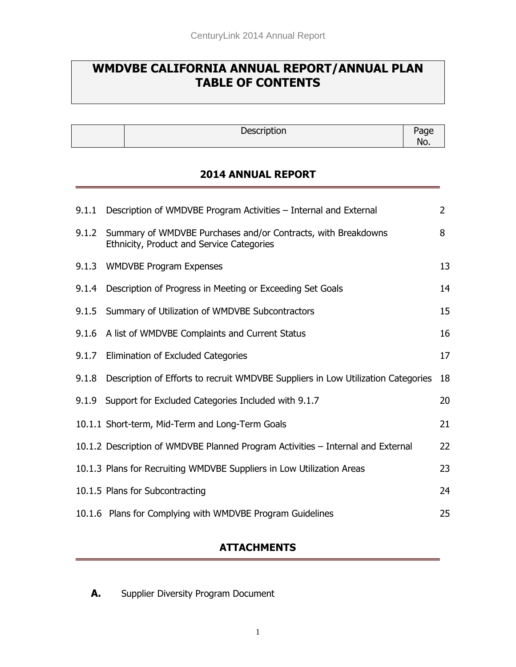# **WMDVBE CALIFORNIA ANNUAL REPORT/ANNUAL PLAN TABLE OF CONTENTS**

Description Page

No.

### **2014 ANNUAL REPORT**

|       | 9.1.1 Description of WMDVBE Program Activities - Internal and External                                           | $\overline{2}$ |
|-------|------------------------------------------------------------------------------------------------------------------|----------------|
|       | 9.1.2 Summary of WMDVBE Purchases and/or Contracts, with Breakdowns<br>Ethnicity, Product and Service Categories | 8              |
|       | 9.1.3 WMDVBE Program Expenses                                                                                    | 13             |
|       | 9.1.4 Description of Progress in Meeting or Exceeding Set Goals                                                  | 14             |
|       | 9.1.5 Summary of Utilization of WMDVBE Subcontractors                                                            | 15             |
|       | 9.1.6 A list of WMDVBE Complaints and Current Status                                                             | 16             |
|       | 9.1.7 Elimination of Excluded Categories                                                                         | 17             |
| 9.1.8 | Description of Efforts to recruit WMDVBE Suppliers in Low Utilization Categories                                 | 18             |
| 9.1.9 | Support for Excluded Categories Included with 9.1.7                                                              | 20             |
|       | 10.1.1 Short-term, Mid-Term and Long-Term Goals                                                                  | 21             |
|       | 10.1.2 Description of WMDVBE Planned Program Activities - Internal and External                                  | 22             |
|       | 10.1.3 Plans for Recruiting WMDVBE Suppliers in Low Utilization Areas                                            | 23             |
|       | 10.1.5 Plans for Subcontracting                                                                                  | 24             |
|       | 10.1.6 Plans for Complying with WMDVBE Program Guidelines                                                        | 25             |

### **ATTACHMENTS**

**A.** Supplier Diversity Program Document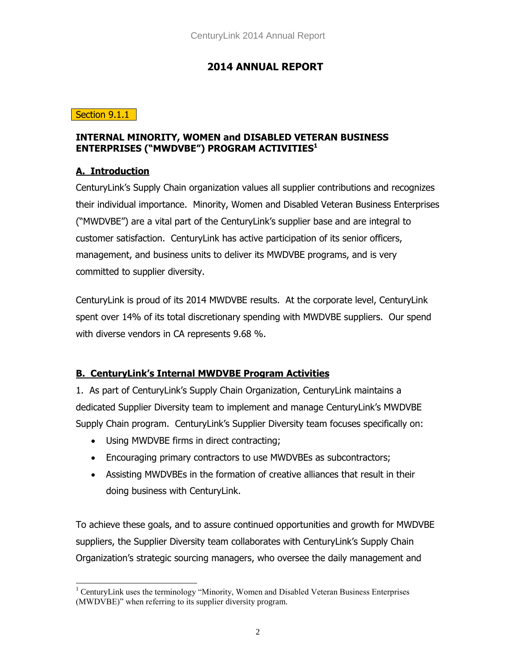### **2014 ANNUAL REPORT**

#### Section 9.1.1

#### **INTERNAL MINORITY, WOMEN and DISABLED VETERAN BUSINESS ENTERPRISES ("MWDVBE") PROGRAM ACTIVITIES<sup>1</sup>**

#### **A. Introduction**

CenturyLink's Supply Chain organization values all supplier contributions and recognizes their individual importance. Minority, Women and Disabled Veteran Business Enterprises ("MWDVBE") are a vital part of the CenturyLink's supplier base and are integral to customer satisfaction. CenturyLink has active participation of its senior officers, management, and business units to deliver its MWDVBE programs, and is very committed to supplier diversity.

CenturyLink is proud of its 2014 MWDVBE results. At the corporate level, CenturyLink spent over 14% of its total discretionary spending with MWDVBE suppliers. Our spend with diverse vendors in CA represents 9.68 %.

### **B. CenturyLink's Internal MWDVBE Program Activities**

1. As part of CenturyLink's Supply Chain Organization, CenturyLink maintains a dedicated Supplier Diversity team to implement and manage CenturyLink's MWDVBE Supply Chain program. CenturyLink's Supplier Diversity team focuses specifically on:

- Using MWDVBE firms in direct contracting;
- Encouraging primary contractors to use MWDVBEs as subcontractors;
- Assisting MWDVBEs in the formation of creative alliances that result in their doing business with CenturyLink.

To achieve these goals, and to assure continued opportunities and growth for MWDVBE suppliers, the Supplier Diversity team collaborates with CenturyLink's Supply Chain Organization's strategic sourcing managers, who oversee the daily management and

 $\overline{a}$ <sup>1</sup> CenturyLink uses the terminology "Minority, Women and Disabled Veteran Business Enterprises (MWDVBE)" when referring to its supplier diversity program.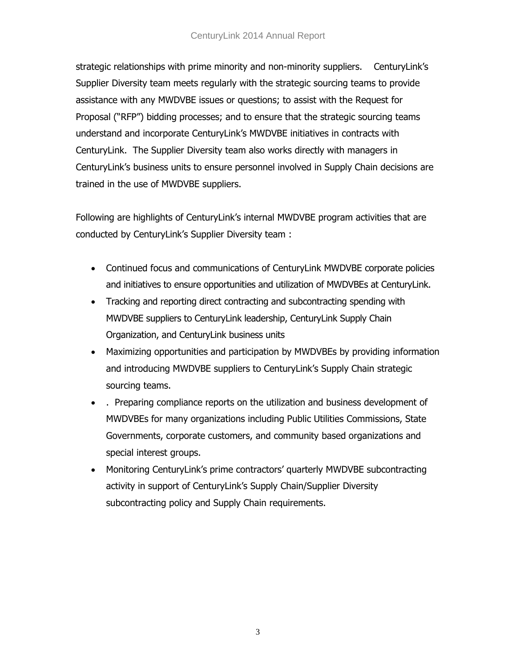#### CenturyLink 2014 Annual Report

strategic relationships with prime minority and non-minority suppliers. CenturyLink's Supplier Diversity team meets regularly with the strategic sourcing teams to provide assistance with any MWDVBE issues or questions; to assist with the Request for Proposal ("RFP") bidding processes; and to ensure that the strategic sourcing teams understand and incorporate CenturyLink's MWDVBE initiatives in contracts with CenturyLink. The Supplier Diversity team also works directly with managers in CenturyLink's business units to ensure personnel involved in Supply Chain decisions are trained in the use of MWDVBE suppliers.

Following are highlights of CenturyLink's internal MWDVBE program activities that are conducted by CenturyLink's Supplier Diversity team :

- Continued focus and communications of CenturyLink MWDVBE corporate policies and initiatives to ensure opportunities and utilization of MWDVBEs at CenturyLink.
- Tracking and reporting direct contracting and subcontracting spending with MWDVBE suppliers to CenturyLink leadership, CenturyLink Supply Chain Organization, and CenturyLink business units
- Maximizing opportunities and participation by MWDVBEs by providing information and introducing MWDVBE suppliers to CenturyLink's Supply Chain strategic sourcing teams.
- . Preparing compliance reports on the utilization and business development of MWDVBEs for many organizations including Public Utilities Commissions, State Governments, corporate customers, and community based organizations and special interest groups.
- Monitoring CenturyLink's prime contractors' quarterly MWDVBE subcontracting activity in support of CenturyLink's Supply Chain/Supplier Diversity subcontracting policy and Supply Chain requirements.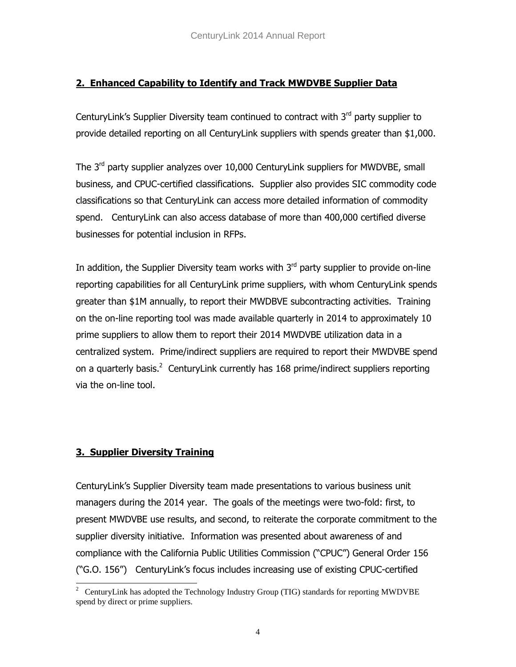### **2. Enhanced Capability to Identify and Track MWDVBE Supplier Data**

CenturyLink's Supplier Diversity team continued to contract with 3<sup>rd</sup> party supplier to provide detailed reporting on all CenturyLink suppliers with spends greater than \$1,000.

The  $3<sup>rd</sup>$  party supplier analyzes over 10,000 CenturyLink suppliers for MWDVBE, small business, and CPUC-certified classifications. Supplier also provides SIC commodity code classifications so that CenturyLink can access more detailed information of commodity spend. CenturyLink can also access database of more than 400,000 certified diverse businesses for potential inclusion in RFPs.

In addition, the Supplier Diversity team works with  $3<sup>rd</sup>$  party supplier to provide on-line reporting capabilities for all CenturyLink prime suppliers, with whom CenturyLink spends greater than \$1M annually, to report their MWDBVE subcontracting activities. Training on the on-line reporting tool was made available quarterly in 2014 to approximately 10 prime suppliers to allow them to report their 2014 MWDVBE utilization data in a centralized system. Prime/indirect suppliers are required to report their MWDVBE spend on a quarterly basis.<sup>2</sup> CenturyLink currently has 168 prime/indirect suppliers reporting via the on-line tool.

### **3. Supplier Diversity Training**

CenturyLink's Supplier Diversity team made presentations to various business unit managers during the 2014 year. The goals of the meetings were two-fold: first, to present MWDVBE use results, and second, to reiterate the corporate commitment to the supplier diversity initiative. Information was presented about awareness of and compliance with the California Public Utilities Commission ("CPUC") General Order 156 ("G.O. 156") CenturyLink's focus includes increasing use of existing CPUC-certified

<sup>&</sup>lt;sup>2</sup> CenturyLink has adopted the Technology Industry Group (TIG) standards for reporting MWDVBE spend by direct or prime suppliers.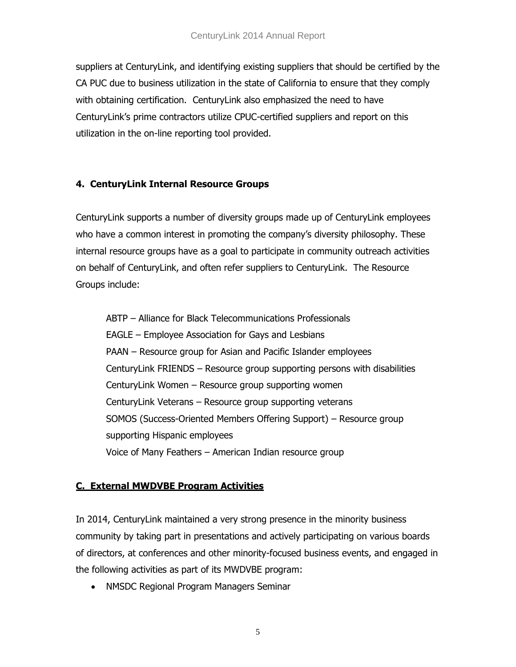suppliers at CenturyLink, and identifying existing suppliers that should be certified by the CA PUC due to business utilization in the state of California to ensure that they comply with obtaining certification. CenturyLink also emphasized the need to have CenturyLink's prime contractors utilize CPUC-certified suppliers and report on this utilization in the on-line reporting tool provided.

### **4. CenturyLink Internal Resource Groups**

CenturyLink supports a number of diversity groups made up of CenturyLink employees who have a common interest in promoting the company's diversity philosophy. These internal resource groups have as a goal to participate in community outreach activities on behalf of CenturyLink, and often refer suppliers to CenturyLink. The Resource Groups include:

ABTP – Alliance for Black Telecommunications Professionals EAGLE – Employee Association for Gays and Lesbians PAAN – Resource group for Asian and Pacific Islander employees CenturyLink FRIENDS – Resource group supporting persons with disabilities CenturyLink Women – Resource group supporting women CenturyLink Veterans – Resource group supporting veterans SOMOS (Success-Oriented Members Offering Support) – Resource group supporting Hispanic employees Voice of Many Feathers – American Indian resource group

## **C. External MWDVBE Program Activities**

In 2014, CenturyLink maintained a very strong presence in the minority business community by taking part in presentations and actively participating on various boards of directors, at conferences and other minority-focused business events, and engaged in the following activities as part of its MWDVBE program:

NMSDC Regional Program Managers Seminar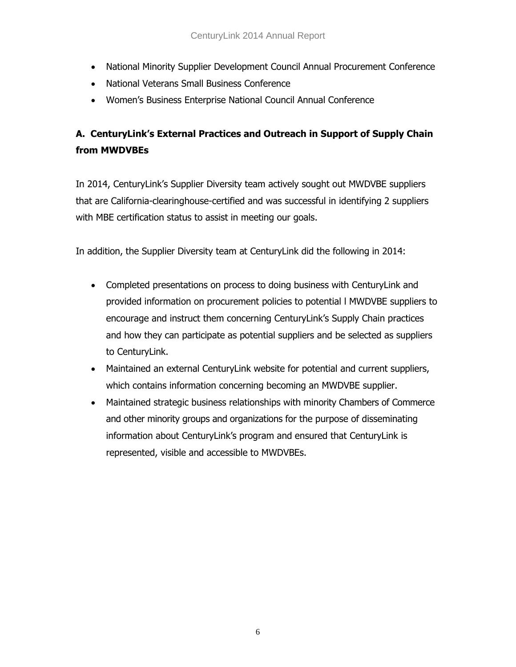- National Minority Supplier Development Council Annual Procurement Conference
- National Veterans Small Business Conference
- Women's Business Enterprise National Council Annual Conference

# **A. CenturyLink's External Practices and Outreach in Support of Supply Chain from MWDVBEs**

In 2014, CenturyLink's Supplier Diversity team actively sought out MWDVBE suppliers that are California-clearinghouse-certified and was successful in identifying 2 suppliers with MBE certification status to assist in meeting our goals.

In addition, the Supplier Diversity team at CenturyLink did the following in 2014:

- Completed presentations on process to doing business with CenturyLink and provided information on procurement policies to potential l MWDVBE suppliers to encourage and instruct them concerning CenturyLink's Supply Chain practices and how they can participate as potential suppliers and be selected as suppliers to CenturyLink.
- Maintained an external CenturyLink website for potential and current suppliers, which contains information concerning becoming an MWDVBE supplier.
- Maintained strategic business relationships with minority Chambers of Commerce and other minority groups and organizations for the purpose of disseminating information about CenturyLink's program and ensured that CenturyLink is represented, visible and accessible to MWDVBEs.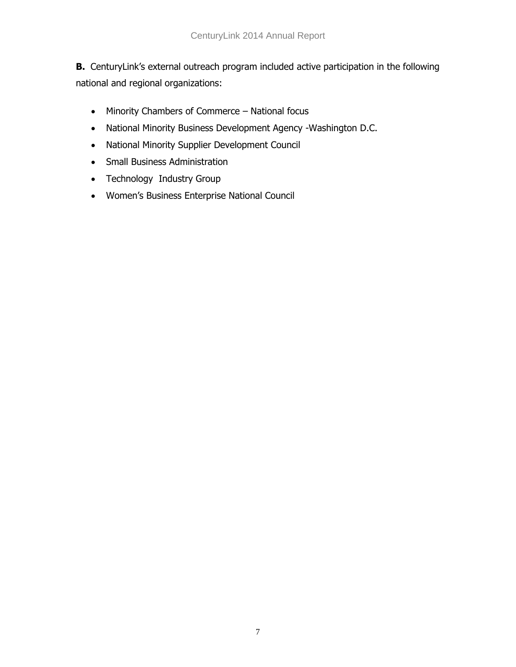**B.** CenturyLink's external outreach program included active participation in the following national and regional organizations:

- Minority Chambers of Commerce National focus
- National Minority Business Development Agency -Washington D.C.
- National Minority Supplier Development Council
- Small Business Administration
- Technology Industry Group
- Women's Business Enterprise National Council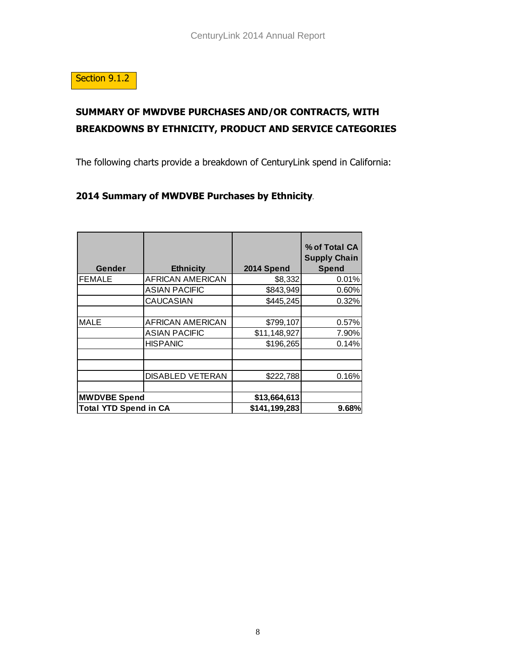

# **SUMMARY OF MWDVBE PURCHASES AND/OR CONTRACTS, WITH BREAKDOWNS BY ETHNICITY, PRODUCT AND SERVICE CATEGORIES**

The following charts provide a breakdown of CenturyLink spend in California:

### **2014 Summary of MWDVBE Purchases by Ethnicity***.*

| Gender                       | <b>Ethnicity</b>        | 2014 Spend    | % of Total CA<br><b>Supply Chain</b><br><b>Spend</b> |
|------------------------------|-------------------------|---------------|------------------------------------------------------|
| <b>FEMALE</b>                | <b>AFRICAN AMERICAN</b> | \$8,332       | 0.01%                                                |
|                              | <b>ASIAN PACIFIC</b>    | \$843,949     | 0.60%                                                |
|                              | <b>CAUCASIAN</b>        | \$445,245     | 0.32%                                                |
|                              |                         |               |                                                      |
| <b>MALE</b>                  | <b>AFRICAN AMERICAN</b> | \$799,107     | 0.57%                                                |
|                              | <b>ASIAN PACIFIC</b>    | \$11,148,927  | 7.90%                                                |
|                              | <b>HISPANIC</b>         | \$196,265     | 0.14%                                                |
|                              |                         |               |                                                      |
|                              | <b>DISABLED VETERAN</b> | \$222,788     | 0.16%                                                |
|                              |                         |               |                                                      |
| <b>MWDVBE Spend</b>          |                         | \$13,664,613  |                                                      |
| <b>Total YTD Spend in CA</b> |                         | \$141,199,283 | 9.68%                                                |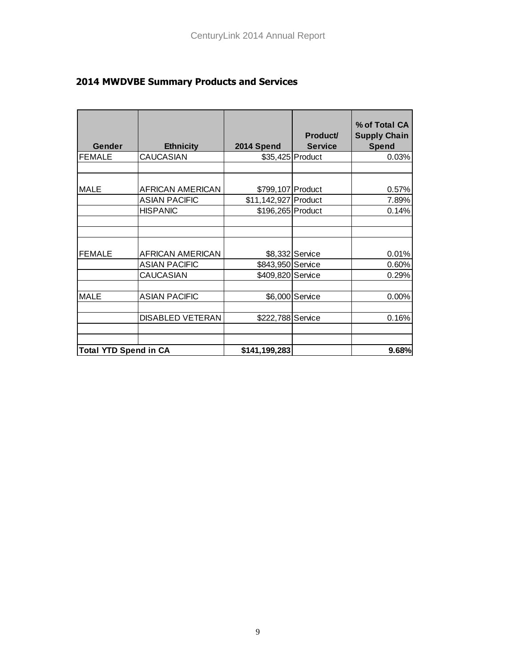| Gender                       | <b>Ethnicity</b>        | 2014 Spend           | Product/<br><b>Service</b> | % of Total CA<br><b>Supply Chain</b><br><b>Spend</b> |
|------------------------------|-------------------------|----------------------|----------------------------|------------------------------------------------------|
| <b>FEMALE</b>                | <b>CAUCASIAN</b>        |                      | \$35,425 Product           | 0.03%                                                |
|                              |                         |                      |                            |                                                      |
| <b>MALE</b>                  | <b>AFRICAN AMERICAN</b> | \$799,107 Product    |                            | 0.57%                                                |
|                              | <b>ASIAN PACIFIC</b>    | \$11,142,927 Product |                            | 7.89%                                                |
|                              | <b>HISPANIC</b>         | \$196,265 Product    |                            | 0.14%                                                |
|                              |                         |                      |                            |                                                      |
| <b>FEMALE</b>                | <b>AFRICAN AMERICAN</b> |                      | \$8,332 Service            | 0.01%                                                |
|                              | <b>ASIAN PACIFIC</b>    | \$843,950 Service    |                            | 0.60%                                                |
|                              | <b>CAUCASIAN</b>        | \$409,820 Service    |                            | 0.29%                                                |
| <b>MALE</b>                  | <b>ASIAN PACIFIC</b>    |                      | \$6,000 Service            | 0.00%                                                |
|                              | <b>DISABLED VETERAN</b> | \$222,788 Service    |                            | 0.16%                                                |
| <b>Total YTD Spend in CA</b> |                         | \$141,199,283        |                            | 9.68%                                                |

# **2014 MWDVBE Summary Products and Services**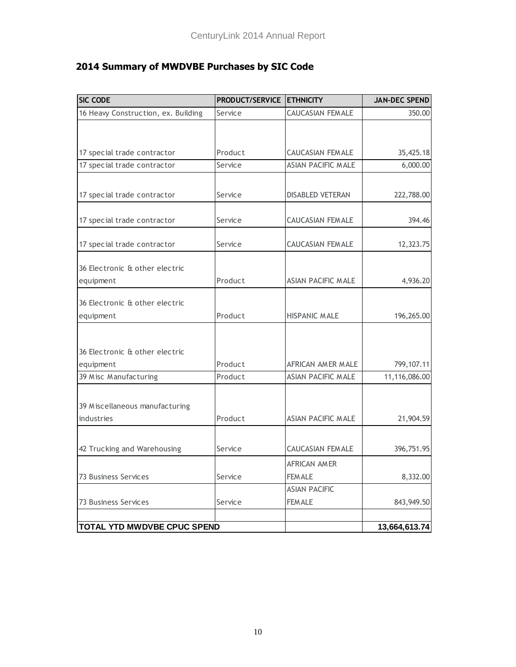# **2014 Summary of MWDVBE Purchases by SIC Code**

| <b>SIC CODE</b>                     | PRODUCT/SERVICE ETHNICITY |                           | <b>JAN-DEC SPEND</b> |
|-------------------------------------|---------------------------|---------------------------|----------------------|
| 16 Heavy Construction, ex. Building | Service                   | <b>CAUCASIAN FEMALE</b>   | 350.00               |
|                                     |                           |                           |                      |
|                                     |                           |                           |                      |
| 17 special trade contractor         | Product                   | CAUCASIAN FEMALE          | 35,425.18            |
| 17 special trade contractor         | Service                   | <b>ASIAN PACIFIC MALE</b> | 6,000.00             |
|                                     |                           |                           |                      |
| 17 special trade contractor         | Service                   | DISABLED VETERAN          | 222,788.00           |
|                                     | Service                   | CAUCASIAN FEMALE          | 394.46               |
| 17 special trade contractor         |                           |                           |                      |
| 17 special trade contractor         | Service                   | CAUCASIAN FEMALE          | 12,323.75            |
|                                     |                           |                           |                      |
| 36 Electronic & other electric      |                           |                           |                      |
| equipment                           | Product                   | ASIAN PACIFIC MALE        | 4,936.20             |
| 36 Electronic & other electric      |                           |                           |                      |
| equipment                           | Product                   | <b>HISPANIC MALE</b>      | 196,265.00           |
|                                     |                           |                           |                      |
| 36 Electronic & other electric      |                           |                           |                      |
| equipment                           | Product                   | AFRICAN AMER MALE         | 799,107.11           |
| 39 Misc Manufacturing               | Product                   | <b>ASIAN PACIFIC MALE</b> | 11,116,086.00        |
|                                     |                           |                           |                      |
| 39 Miscellaneous manufacturing      |                           |                           |                      |
| industries                          | Product                   | ASIAN PACIFIC MALE        | 21,904.59            |
|                                     |                           |                           |                      |
| 42 Trucking and Warehousing         | Service                   | <b>CAUCASIAN FEMALE</b>   | 396,751.95           |
|                                     |                           | AFRICAN AMER              |                      |
| 73 Business Services                | Service                   | <b>FEM ALE</b>            | 8,332.00             |
|                                     |                           | <b>ASIAN PACIFIC</b>      |                      |
| 73 Business Services                | Service                   | <b>FEM ALE</b>            | 843,949.50           |
|                                     |                           |                           |                      |
| TOTAL YTD MWDVBE CPUC SPEND         |                           |                           | 13,664,613.74        |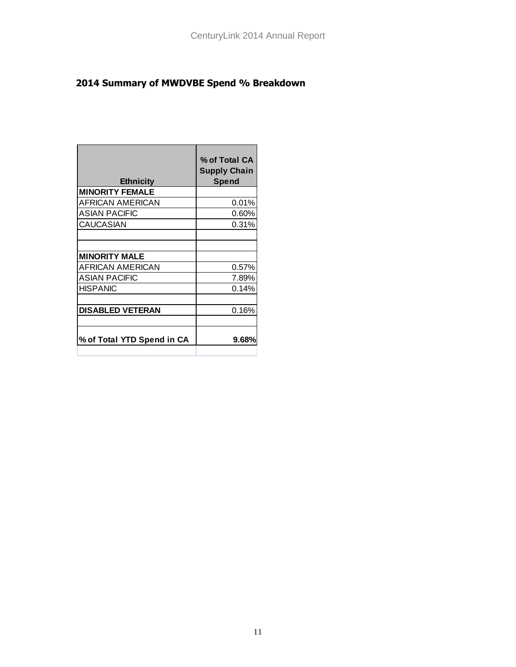# **2014 Summary of MWDVBE Spend % Breakdown**

| <b>Ethnicity</b>           | % of Total CA<br><b>Supply Chain</b><br><b>Spend</b> |
|----------------------------|------------------------------------------------------|
| <b>MINORITY FEMALE</b>     |                                                      |
| AFRICAN AMERICAN           | $0.01\%$                                             |
| <b>ASIAN PACIFIC</b>       | 0.60%                                                |
| <b>CAUCASIAN</b>           | 0.31%                                                |
|                            |                                                      |
|                            |                                                      |
| <b>MINORITY MALE</b>       |                                                      |
| AFRICAN AMERICAN           | 0.57%                                                |
| <b>ASIAN PACIFIC</b>       | 7.89%                                                |
| <b>HISPANIC</b>            | 0.14%                                                |
|                            |                                                      |
| <b>DISABLED VETERAN</b>    | 0.16%                                                |
|                            |                                                      |
| % of Total YTD Spend in CA | 9.68%                                                |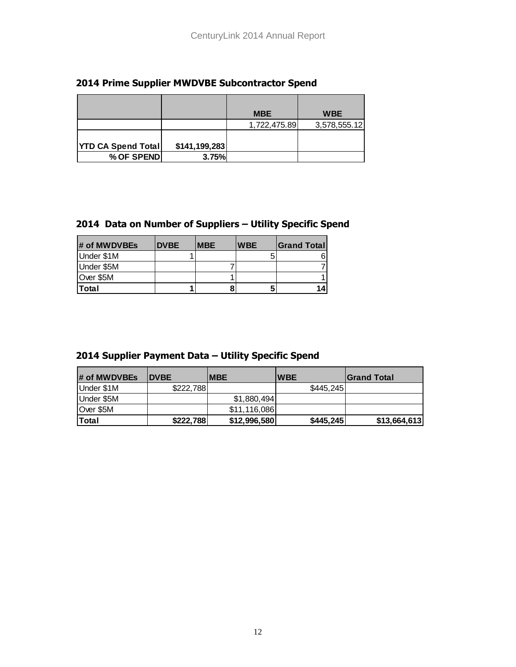#### **2014 Prime Supplier MWDVBE Subcontractor Spend**

|                           |               | <b>MBE</b>   | <b>WBE</b>   |
|---------------------------|---------------|--------------|--------------|
|                           |               | 1,722,475.89 | 3,578,555.12 |
|                           |               |              |              |
| <b>YTD CA Spend Total</b> | \$141,199,283 |              |              |
| % OF SPEND                | 3.75%         |              |              |

### **2014 Data on Number of Suppliers – Utility Specific Spend**

| # of MWDVBEs | <b>DVBE</b> | <b>MBE</b> | <b>WBE</b> | <b>Sand Total</b> |
|--------------|-------------|------------|------------|-------------------|
| Under \$1M   |             |            |            |                   |
| Under \$5M   |             |            |            |                   |
| Over \$5M    |             |            |            |                   |
| <b>Total</b> |             | 8          |            | 14                |

#### **2014 Supplier Payment Data – Utility Specific Spend**

| # of MWDVBEs | <b>IDVBE</b> | <b>IMBE</b>  | <b>IWBE</b> | <b>S</b> rand Total |
|--------------|--------------|--------------|-------------|---------------------|
| Under \$1M   | \$222,788    |              | \$445,245   |                     |
| Under \$5M   |              | \$1,880,494  |             |                     |
| Over \$5M    |              | \$11,116,086 |             |                     |
| <b>Total</b> | \$222,788    | \$12,996,580 | \$445,245   | \$13,664,613        |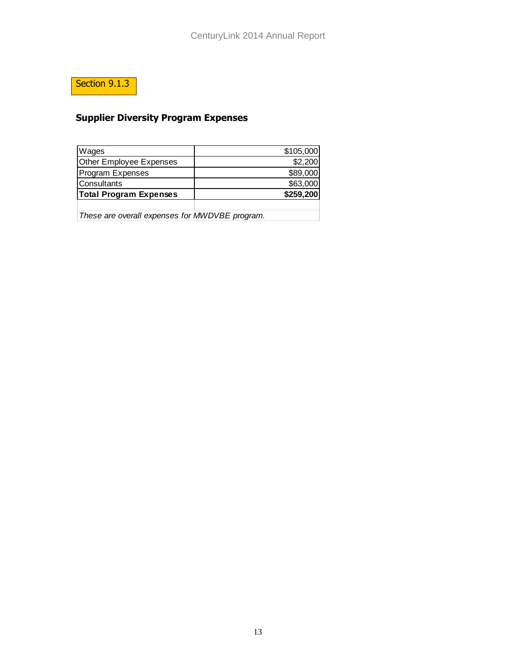# Section 9.1.3

# **Supplier Diversity Program Expenses**

| Wages                         | \$105,000 |
|-------------------------------|-----------|
| Other Employee Expenses       | \$2,200   |
| <b>Program Expenses</b>       | \$89,000  |
| <b>Consultants</b>            | \$63,000  |
| <b>Total Program Expenses</b> | \$259,200 |
|                               |           |

*These are overall expenses for MWDVBE program.*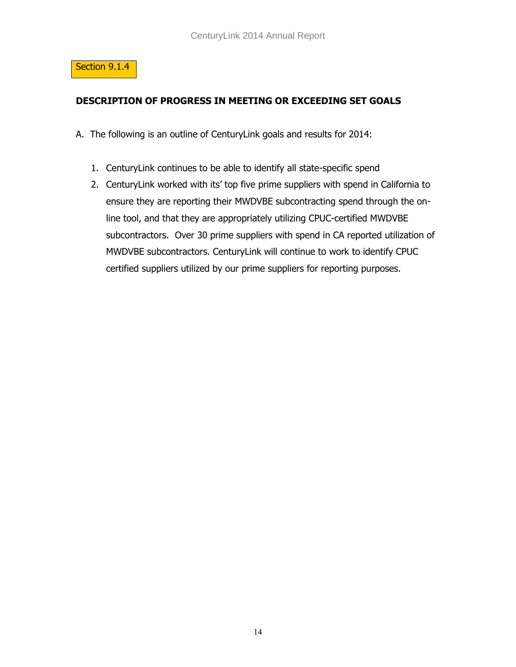

### **DESCRIPTION OF PROGRESS IN MEETING OR EXCEEDING SET GOALS**

- A. The following is an outline of CenturyLink goals and results for 2014:
	- 1. CenturyLink continues to be able to identify all state-specific spend
	- 2. CenturyLink worked with its' top five prime suppliers with spend in California to ensure they are reporting their MWDVBE subcontracting spend through the online tool, and that they are appropriately utilizing CPUC-certified MWDVBE subcontractors. Over 30 prime suppliers with spend in CA reported utilization of MWDVBE subcontractors. CenturyLink will continue to work to identify CPUC certified suppliers utilized by our prime suppliers for reporting purposes.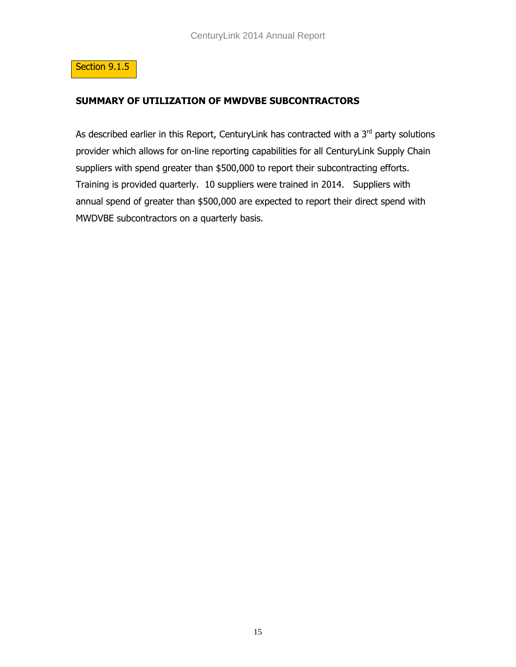

#### **SUMMARY OF UTILIZATION OF MWDVBE SUBCONTRACTORS**

As described earlier in this Report, CenturyLink has contracted with a  $3<sup>rd</sup>$  party solutions provider which allows for on-line reporting capabilities for all CenturyLink Supply Chain suppliers with spend greater than \$500,000 to report their subcontracting efforts. Training is provided quarterly. 10 suppliers were trained in 2014. Suppliers with annual spend of greater than \$500,000 are expected to report their direct spend with MWDVBE subcontractors on a quarterly basis.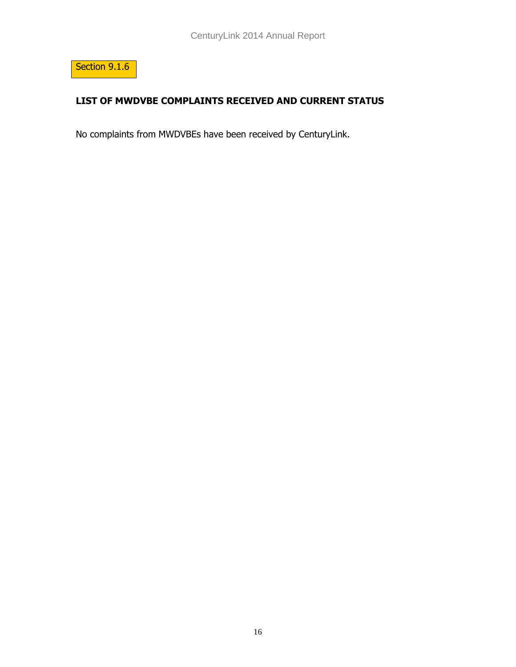

## **LIST OF MWDVBE COMPLAINTS RECEIVED AND CURRENT STATUS**

No complaints from MWDVBEs have been received by CenturyLink.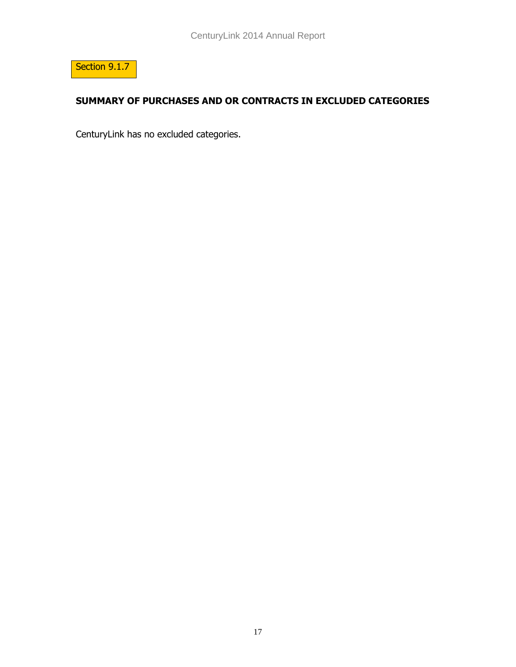

## **SUMMARY OF PURCHASES AND OR CONTRACTS IN EXCLUDED CATEGORIES**

CenturyLink has no excluded categories.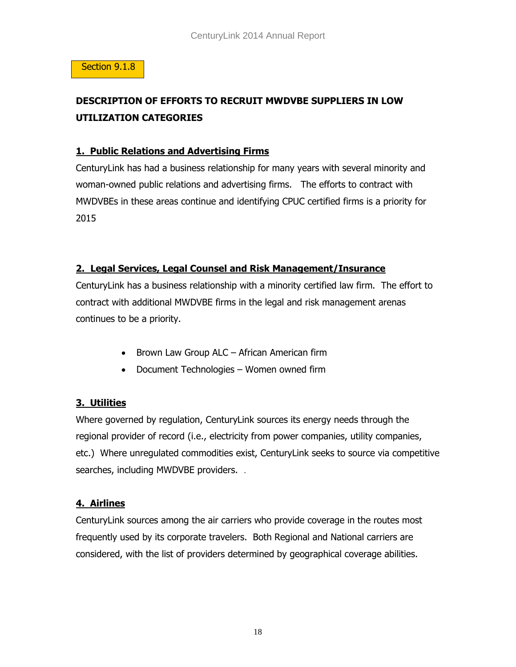#### Section 9.1.8

# **DESCRIPTION OF EFFORTS TO RECRUIT MWDVBE SUPPLIERS IN LOW UTILIZATION CATEGORIES**

#### **1. Public Relations and Advertising Firms**

CenturyLink has had a business relationship for many years with several minority and woman-owned public relations and advertising firms. The efforts to contract with MWDVBEs in these areas continue and identifying CPUC certified firms is a priority for 2015

#### **2. Legal Services, Legal Counsel and Risk Management/Insurance**

CenturyLink has a business relationship with a minority certified law firm. The effort to contract with additional MWDVBE firms in the legal and risk management arenas continues to be a priority.

- Brown Law Group ALC African American firm
- Document Technologies Women owned firm

### **3. Utilities**

Where governed by regulation, CenturyLink sources its energy needs through the regional provider of record (i.e., electricity from power companies, utility companies, etc.) Where unregulated commodities exist, CenturyLink seeks to source via competitive searches, including MWDVBE providers. .

### **4. Airlines**

CenturyLink sources among the air carriers who provide coverage in the routes most frequently used by its corporate travelers. Both Regional and National carriers are considered, with the list of providers determined by geographical coverage abilities.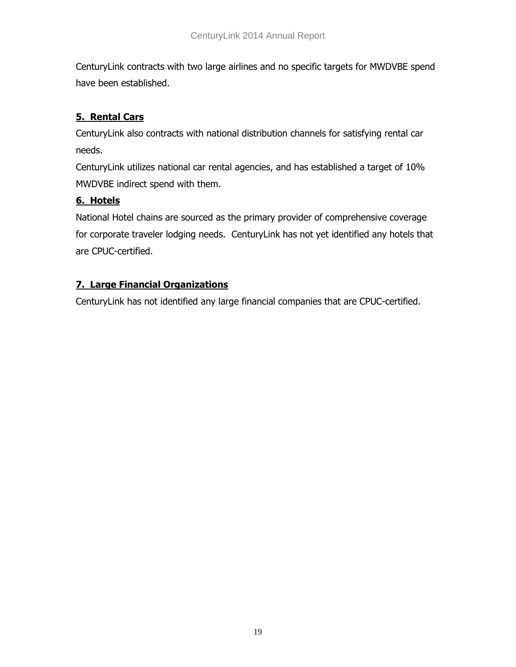CenturyLink contracts with two large airlines and no specific targets for MWDVBE spend have been established.

## **5. Rental Cars**

CenturyLink also contracts with national distribution channels for satisfying rental car needs.

CenturyLink utilizes national car rental agencies, and has established a target of 10% MWDVBE indirect spend with them.

## **6. Hotels**

National Hotel chains are sourced as the primary provider of comprehensive coverage for corporate traveler lodging needs. CenturyLink has not yet identified any hotels that are CPUC-certified.

## **7. Large Financial Organizations**

CenturyLink has not identified any large financial companies that are CPUC-certified.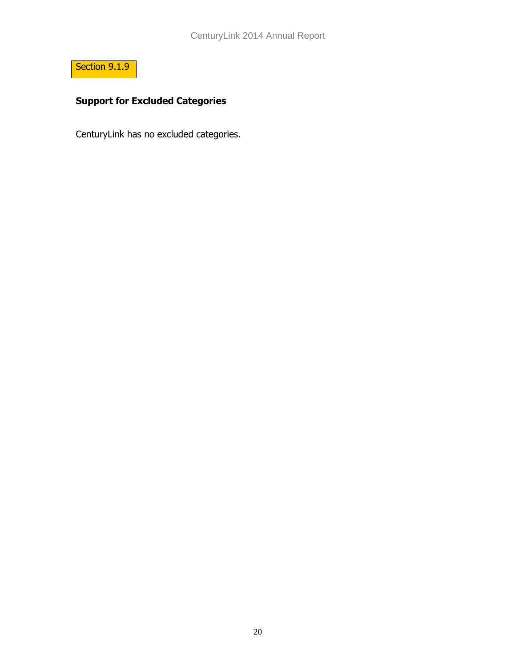

# **Support for Excluded Categories**

CenturyLink has no excluded categories.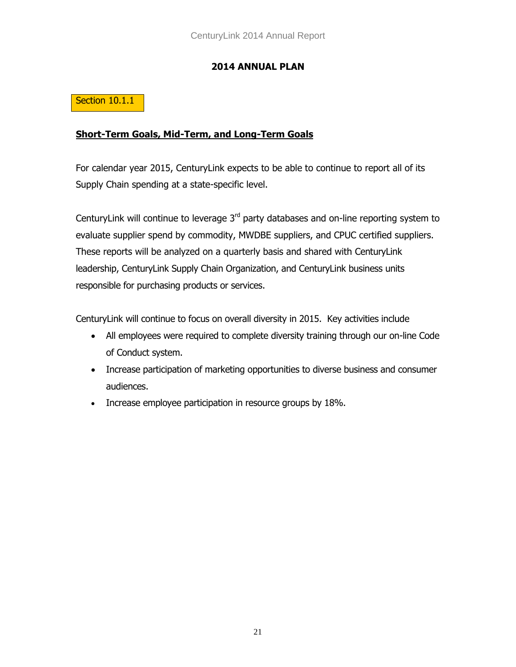#### **2014 ANNUAL PLAN**

### Section 10.1.1

#### **Short-Term Goals, Mid-Term, and Long-Term Goals**

For calendar year 2015, CenturyLink expects to be able to continue to report all of its Supply Chain spending at a state-specific level.

CenturyLink will continue to leverage  $3<sup>rd</sup>$  party databases and on-line reporting system to evaluate supplier spend by commodity, MWDBE suppliers, and CPUC certified suppliers. These reports will be analyzed on a quarterly basis and shared with CenturyLink leadership, CenturyLink Supply Chain Organization, and CenturyLink business units responsible for purchasing products or services.

CenturyLink will continue to focus on overall diversity in 2015. Key activities include

- All employees were required to complete diversity training through our on-line Code of Conduct system.
- Increase participation of marketing opportunities to diverse business and consumer audiences.
- Increase employee participation in resource groups by 18%.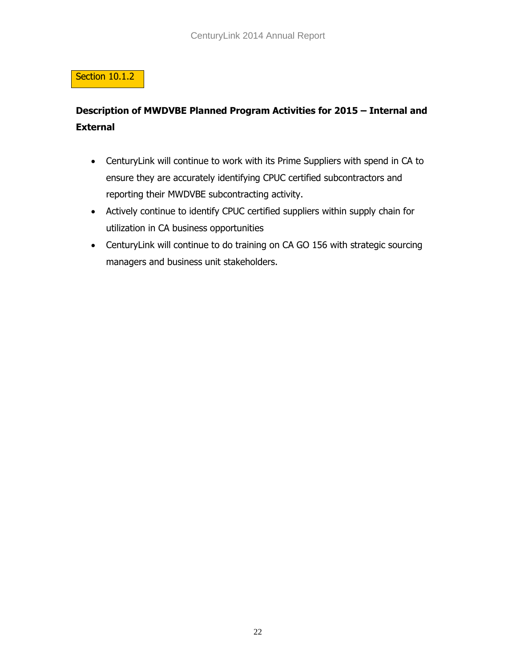### Section 10.1.2

# **Description of MWDVBE Planned Program Activities for 2015 – Internal and External**

- CenturyLink will continue to work with its Prime Suppliers with spend in CA to ensure they are accurately identifying CPUC certified subcontractors and reporting their MWDVBE subcontracting activity.
- Actively continue to identify CPUC certified suppliers within supply chain for utilization in CA business opportunities
- CenturyLink will continue to do training on CA GO 156 with strategic sourcing managers and business unit stakeholders.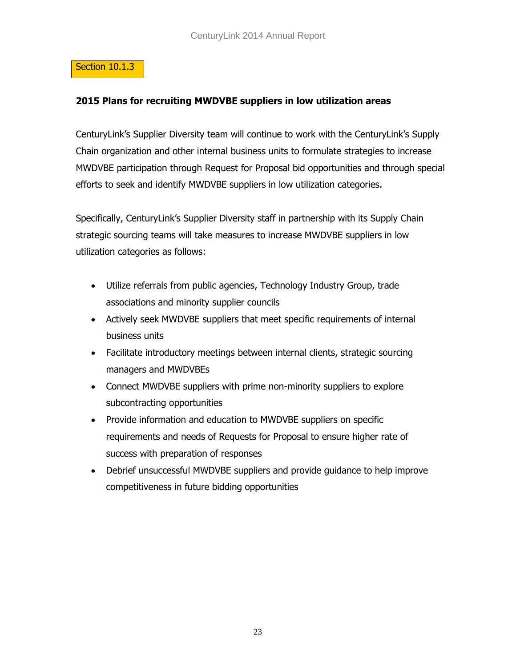#### Section 10.1.3

#### **2015 Plans for recruiting MWDVBE suppliers in low utilization areas**

CenturyLink's Supplier Diversity team will continue to work with the CenturyLink's Supply Chain organization and other internal business units to formulate strategies to increase MWDVBE participation through Request for Proposal bid opportunities and through special efforts to seek and identify MWDVBE suppliers in low utilization categories.

Specifically, CenturyLink's Supplier Diversity staff in partnership with its Supply Chain strategic sourcing teams will take measures to increase MWDVBE suppliers in low utilization categories as follows:

- Utilize referrals from public agencies, Technology Industry Group, trade associations and minority supplier councils
- Actively seek MWDVBE suppliers that meet specific requirements of internal business units
- Facilitate introductory meetings between internal clients, strategic sourcing managers and MWDVBEs
- Connect MWDVBE suppliers with prime non-minority suppliers to explore subcontracting opportunities
- Provide information and education to MWDVBE suppliers on specific requirements and needs of Requests for Proposal to ensure higher rate of success with preparation of responses
- Debrief unsuccessful MWDVBE suppliers and provide guidance to help improve competitiveness in future bidding opportunities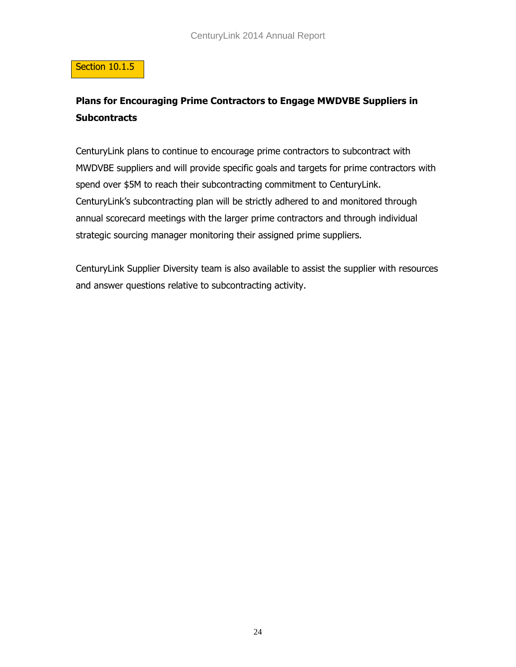#### Section 10.1.5

## **Plans for Encouraging Prime Contractors to Engage MWDVBE Suppliers in Subcontracts**

CenturyLink plans to continue to encourage prime contractors to subcontract with MWDVBE suppliers and will provide specific goals and targets for prime contractors with spend over \$5M to reach their subcontracting commitment to CenturyLink. CenturyLink's subcontracting plan will be strictly adhered to and monitored through annual scorecard meetings with the larger prime contractors and through individual strategic sourcing manager monitoring their assigned prime suppliers.

CenturyLink Supplier Diversity team is also available to assist the supplier with resources and answer questions relative to subcontracting activity.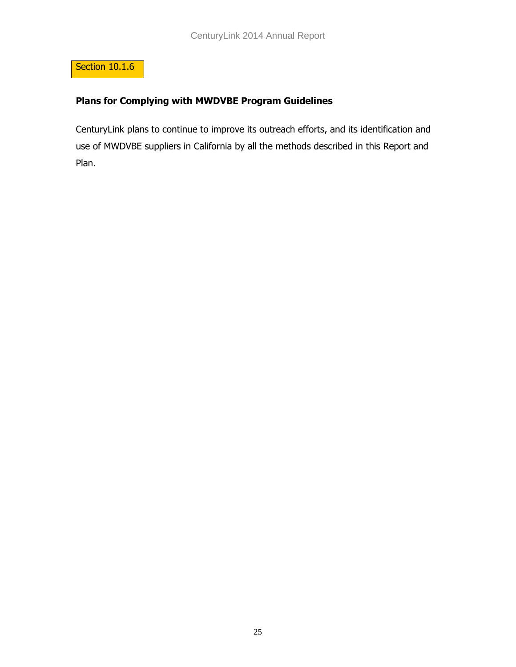

### **Plans for Complying with MWDVBE Program Guidelines**

CenturyLink plans to continue to improve its outreach efforts, and its identification and use of MWDVBE suppliers in California by all the methods described in this Report and Plan.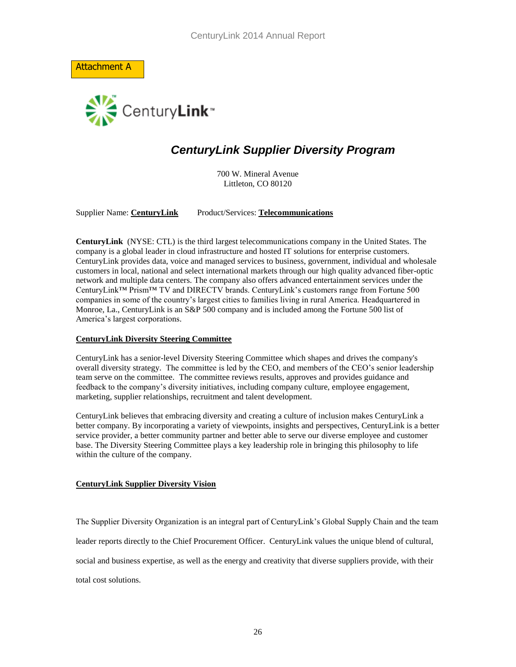Attachment A



# *CenturyLink Supplier Diversity Program*

700 W. Mineral Avenue Littleton, CO 80120

Supplier Name: **CenturyLink** Product/Services: **Telecommunications**

**CenturyLink** (NYSE: CTL) is the third largest telecommunications company in the United States. The company is a global leader in cloud infrastructure and hosted IT solutions for enterprise customers. CenturyLink provides data, voice and managed services to business, government, individual and wholesale customers in local, national and select international markets through our high quality advanced fiber-optic network and multiple data centers. The company also offers advanced entertainment services under the CenturyLink™ Prism™ TV and DIRECTV brands. CenturyLink's customers range from Fortune 500 companies in some of the country's largest cities to families living in rural America. Headquartered in Monroe, La., CenturyLink is an S&P 500 company and is included among the Fortune 500 list of America's largest corporations.

#### **CenturyLink Diversity Steering Committee**

CenturyLink has a senior-level Diversity Steering Committee which shapes and drives the company's overall diversity strategy. The committee is led by the CEO, and members of the CEO's senior leadership team serve on the committee. The committee reviews results, approves and provides guidance and feedback to the company's diversity initiatives, including company culture, employee engagement, marketing, supplier relationships, recruitment and talent development.

CenturyLink believes that embracing diversity and creating a culture of inclusion makes CenturyLink a better company. By incorporating a variety of viewpoints, insights and perspectives, CenturyLink is a better service provider, a better community partner and better able to serve our diverse employee and customer base. The Diversity Steering Committee plays a key leadership role in bringing this philosophy to life within the culture of the company.

#### **CenturyLink Supplier Diversity Vision**

The Supplier Diversity Organization is an integral part of CenturyLink's Global Supply Chain and the team

leader reports directly to the Chief Procurement Officer. CenturyLink values the unique blend of cultural,

social and business expertise, as well as the energy and creativity that diverse suppliers provide, with their

total cost solutions.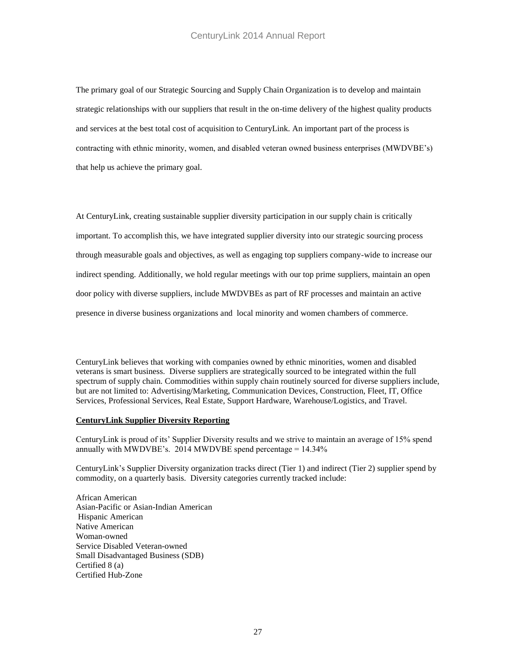The primary goal of our Strategic Sourcing and Supply Chain Organization is to develop and maintain strategic relationships with our suppliers that result in the on-time delivery of the highest quality products and services at the best total cost of acquisition to CenturyLink. An important part of the process is contracting with ethnic minority, women, and disabled veteran owned business enterprises (MWDVBE's) that help us achieve the primary goal.

At CenturyLink, creating sustainable supplier diversity participation in our supply chain is critically important. To accomplish this, we have integrated supplier diversity into our strategic sourcing process through measurable goals and objectives, as well as engaging top suppliers company-wide to increase our indirect spending. Additionally, we hold regular meetings with our top prime suppliers, maintain an open door policy with diverse suppliers, include MWDVBEs as part of RF processes and maintain an active presence in diverse business organizations and local minority and women chambers of commerce.

CenturyLink believes that working with companies owned by ethnic minorities, women and disabled veterans is smart business. Diverse suppliers are strategically sourced to be integrated within the full spectrum of supply chain. Commodities within supply chain routinely sourced for diverse suppliers include, but are not limited to: Advertising/Marketing, Communication Devices, Construction, Fleet, IT, Office Services, Professional Services, Real Estate, Support Hardware, Warehouse/Logistics, and Travel.

#### **CenturyLink Supplier Diversity Reporting**

CenturyLink is proud of its' Supplier Diversity results and we strive to maintain an average of 15% spend annually with MWDVBE's. 2014 MWDVBE spend percentage  $= 14.34\%$ 

CenturyLink's Supplier Diversity organization tracks direct (Tier 1) and indirect (Tier 2) supplier spend by commodity, on a quarterly basis. Diversity categories currently tracked include:

African American Asian-Pacific or Asian-Indian American Hispanic American Native American Woman-owned Service Disabled Veteran-owned Small Disadvantaged Business (SDB) Certified 8 (a) Certified Hub-Zone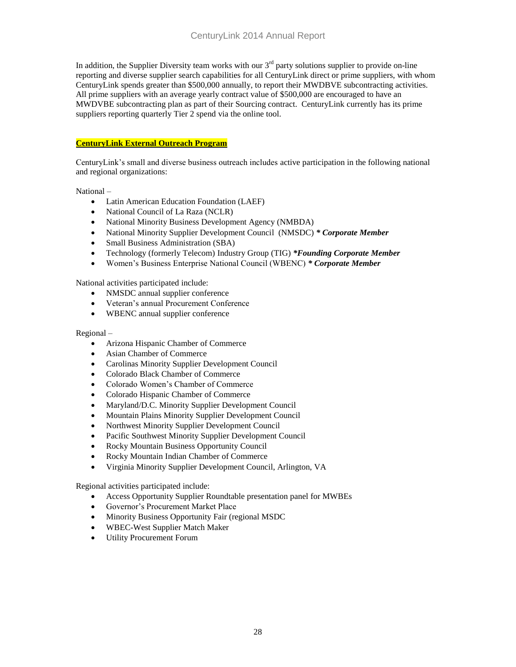In addition, the Supplier Diversity team works with our  $3<sup>rd</sup>$  party solutions supplier to provide on-line reporting and diverse supplier search capabilities for all CenturyLink direct or prime suppliers, with whom CenturyLink spends greater than \$500,000 annually, to report their MWDBVE subcontracting activities. All prime suppliers with an average yearly contract value of \$500,000 are encouraged to have an MWDVBE subcontracting plan as part of their Sourcing contract. CenturyLink currently has its prime suppliers reporting quarterly Tier 2 spend via the online tool.

#### **CenturyLink External Outreach Program**

CenturyLink's small and diverse business outreach includes active participation in the following national and regional organizations:

National –

- Latin American Education Foundation (LAEF)
- National Council of La Raza (NCLR)
- National Minority Business Development Agency (NMBDA)
- National Minority Supplier Development Council (NMSDC) *\* Corporate Member*
- Small Business Administration (SBA)
- Technology (formerly Telecom) Industry Group (TIG) *\*Founding Corporate Member*
- Women's Business Enterprise National Council (WBENC) *\* Corporate Member*

National activities participated include:

- NMSDC annual supplier conference
- Veteran's annual Procurement Conference
- WBENC annual supplier conference

#### Regional –

- Arizona Hispanic Chamber of Commerce
- Asian Chamber of Commerce
- Carolinas Minority Supplier Development Council
- Colorado Black Chamber of Commerce
- Colorado Women's Chamber of Commerce
- Colorado Hispanic Chamber of Commerce
- Maryland/D.C. Minority Supplier Development Council
- Mountain Plains Minority Supplier Development Council
- Northwest Minority Supplier Development Council
- Pacific Southwest Minority Supplier Development Council
- Rocky Mountain Business Opportunity Council
- Rocky Mountain Indian Chamber of Commerce
- Virginia Minority Supplier Development Council, Arlington, VA

Regional activities participated include:

- Access Opportunity Supplier Roundtable presentation panel for MWBEs
- Governor's Procurement Market Place
- Minority Business Opportunity Fair (regional MSDC)
- WBEC-West Supplier Match Maker
- Utility Procurement Forum